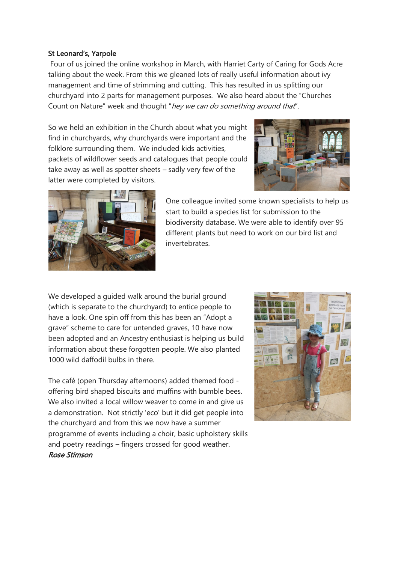## St Leonard's, Yarpole

Four of us joined the online workshop in March, with Harriet Carty of Caring for Gods Acre talking about the week. From this we gleaned lots of really useful information about ivy management and time of strimming and cutting. This has resulted in us splitting our churchyard into 2 parts for management purposes. We also heard about the "Churches Count on Nature" week and thought "hey we can do something around that".

So we held an exhibition in the Church about what you might find in churchyards, why churchyards were important and the folklore surrounding them. We included kids activities, packets of wildflower seeds and catalogues that people could take away as well as spotter sheets – sadly very few of the latter were completed by visitors.





One colleague invited some known specialists to help us start to build a species list for submission to the biodiversity database. We were able to identify over 95 different plants but need to work on our bird list and invertebrates.

We developed a quided walk around the burial ground (which is separate to the churchyard) to entice people to have a look. One spin off from this has been an "Adopt a grave" scheme to care for untended graves, 10 have now been adopted and an Ancestry enthusiast is helping us build information about these forgotten people. We also planted 1000 wild daffodil bulbs in there.

The café (open Thursday afternoons) added themed food offering bird shaped biscuits and muffins with bumble bees. We also invited a local willow weaver to come in and give us a demonstration. Not strictly 'eco' but it did get people into the churchyard and from this we now have a summer programme of events including a choir, basic upholstery skills and poetry readings – fingers crossed for good weather. Rose Stimson